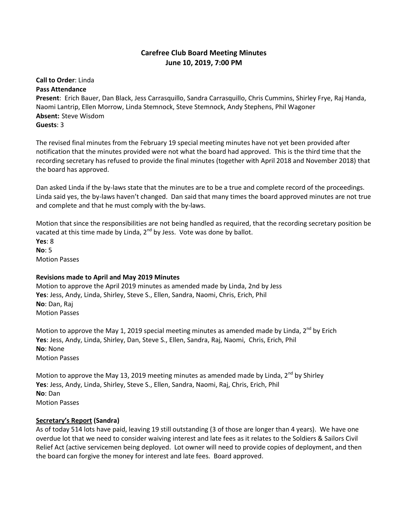# **Carefree Club Board Meeting Minutes June 10, 2019, 7:00 PM**

#### **Call to Order**: Linda **Pass Attendance**

**Present**: Erich Bauer, Dan Black, Jess Carrasquillo, Sandra Carrasquillo, Chris Cummins, Shirley Frye, Raj Handa, Naomi Lantrip, Ellen Morrow, Linda Stemnock, Steve Stemnock, Andy Stephens, Phil Wagoner **Absent:** Steve Wisdom **Guests**: 3

The revised final minutes from the February 19 special meeting minutes have not yet been provided after notification that the minutes provided were not what the board had approved. This is the third time that the recording secretary has refused to provide the final minutes (together with April 2018 and November 2018) that the board has approved.

Dan asked Linda if the by-laws state that the minutes are to be a true and complete record of the proceedings. Linda said yes, the by-laws haven't changed. Dan said that many times the board approved minutes are not true and complete and that he must comply with the by-laws.

Motion that since the responsibilities are not being handled as required, that the recording secretary position be vacated at this time made by Linda, 2<sup>nd</sup> by Jess. Vote was done by ballot. **Yes**: 8 **No**: 5 Motion Passes

# **Revisions made to April and May 2019 Minutes**

Motion to approve the April 2019 minutes as amended made by Linda, 2nd by Jess **Yes**: Jess, Andy, Linda, Shirley, Steve S., Ellen, Sandra, Naomi, Chris, Erich, Phil **No**: Dan, Raj Motion Passes

Motion to approve the May 1, 2019 special meeting minutes as amended made by Linda,  $2^{nd}$  by Erich **Yes**: Jess, Andy, Linda, Shirley, Dan, Steve S., Ellen, Sandra, Raj, Naomi, Chris, Erich, Phil **No**: None Motion Passes

Motion to approve the May 13, 2019 meeting minutes as amended made by Linda,  $2^{nd}$  by Shirley **Yes**: Jess, Andy, Linda, Shirley, Steve S., Ellen, Sandra, Naomi, Raj, Chris, Erich, Phil **No**: Dan Motion Passes

#### **Secretary's Report (Sandra)**

As of today 514 lots have paid, leaving 19 still outstanding (3 of those are longer than 4 years). We have one overdue lot that we need to consider waiving interest and late fees as it relates to the Soldiers & Sailors Civil Relief Act (active servicemen being deployed. Lot owner will need to provide copies of deployment, and then the board can forgive the money for interest and late fees. Board approved.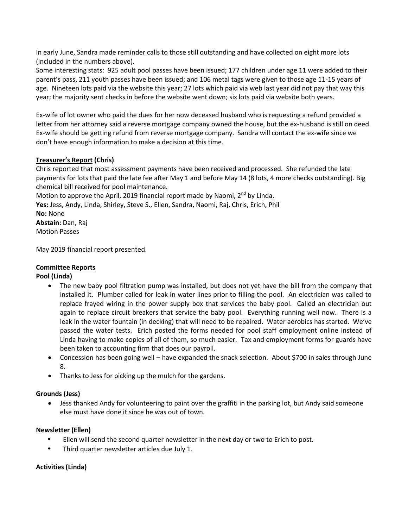In early June, Sandra made reminder calls to those still outstanding and have collected on eight more lots (included in the numbers above).

Some interesting stats: 925 adult pool passes have been issued; 177 children under age 11 were added to their parent's pass, 211 youth passes have been issued; and 106 metal tags were given to those age 11-15 years of age. Nineteen lots paid via the website this year; 27 lots which paid via web last year did not pay that way this year; the majority sent checks in before the website went down; six lots paid via website both years.

Ex-wife of lot owner who paid the dues for her now deceased husband who is requesting a refund provided a letter from her attorney said a reverse mortgage company owned the house, but the ex-husband is still on deed. Ex-wife should be getting refund from reverse mortgage company. Sandra will contact the ex-wife since we don't have enough information to make a decision at this time.

### **Treasurer's Report (Chris)**

Chris reported that most assessment payments have been received and processed. She refunded the late payments for lots that paid the late fee after May 1 and before May 14 (8 lots, 4 more checks outstanding). Big chemical bill received for pool maintenance.

Motion to approve the April, 2019 financial report made by Naomi,  $2^{nd}$  by Linda.

**Yes:** Jess, Andy, Linda, Shirley, Steve S., Ellen, Sandra, Naomi, Raj, Chris, Erich, Phil

**No:** None **Abstain:** Dan, Raj Motion Passes

May 2019 financial report presented.

## **Committee Reports**

#### **Pool (Linda)**

- The new baby pool filtration pump was installed, but does not yet have the bill from the company that installed it. Plumber called for leak in water lines prior to filling the pool. An electrician was called to replace frayed wiring in the power supply box that services the baby pool. Called an electrician out again to replace circuit breakers that service the baby pool. Everything running well now. There is a leak in the water fountain (in decking) that will need to be repaired. Water aerobics has started. We've passed the water tests. Erich posted the forms needed for pool staff employment online instead of Linda having to make copies of all of them, so much easier. Tax and employment forms for guards have been taken to accounting firm that does our payroll.
- Concession has been going well have expanded the snack selection. About \$700 in sales through June 8.
- Thanks to Jess for picking up the mulch for the gardens.

#### **Grounds (Jess)**

 Jess thanked Andy for volunteering to paint over the graffiti in the parking lot, but Andy said someone else must have done it since he was out of town.

#### **Newsletter (Ellen)**

- Ellen will send the second quarter newsletter in the next day or two to Erich to post.
- Third quarter newsletter articles due July 1.

#### **Activities (Linda)**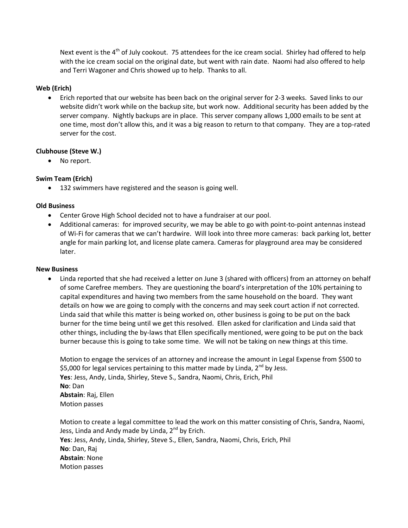Next event is the 4<sup>th</sup> of July cookout. 75 attendees for the ice cream social. Shirley had offered to help with the ice cream social on the original date, but went with rain date. Naomi had also offered to help and Terri Wagoner and Chris showed up to help. Thanks to all.

#### **Web (Erich)**

 Erich reported that our website has been back on the original server for 2-3 weeks. Saved links to our website didn't work while on the backup site, but work now. Additional security has been added by the server company. Nightly backups are in place. This server company allows 1,000 emails to be sent at one time, most don't allow this, and it was a big reason to return to that company. They are a top-rated server for the cost.

#### **Clubhouse (Steve W.)**

• No report.

### **Swim Team (Erich)**

132 swimmers have registered and the season is going well.

#### **Old Business**

- Center Grove High School decided not to have a fundraiser at our pool.
- Additional cameras: for improved security, we may be able to go with point-to-point antennas instead of Wi-Fi for cameras that we can't hardwire. Will look into three more cameras: back parking lot, better angle for main parking lot, and license plate camera. Cameras for playground area may be considered later.

#### **New Business**

 Linda reported that she had received a letter on June 3 (shared with officers) from an attorney on behalf of some Carefree members. They are questioning the board's interpretation of the 10% pertaining to capital expenditures and having two members from the same household on the board. They want details on how we are going to comply with the concerns and may seek court action if not corrected. Linda said that while this matter is being worked on, other business is going to be put on the back burner for the time being until we get this resolved. Ellen asked for clarification and Linda said that other things, including the by-laws that Ellen specifically mentioned, were going to be put on the back burner because this is going to take some time. We will not be taking on new things at this time.

Motion to engage the services of an attorney and increase the amount in Legal Expense from \$500 to \$5,000 for legal services pertaining to this matter made by Linda,  $2^{nd}$  by Jess. **Yes**: Jess, Andy, Linda, Shirley, Steve S., Sandra, Naomi, Chris, Erich, Phil **No**: Dan **Abstain**: Raj, Ellen Motion passes

Motion to create a legal committee to lead the work on this matter consisting of Chris, Sandra, Naomi, Jess, Linda and Andy made by Linda, 2<sup>nd</sup> by Erich. **Yes**: Jess, Andy, Linda, Shirley, Steve S., Ellen, Sandra, Naomi, Chris, Erich, Phil **No**: Dan, Raj **Abstain**: None Motion passes